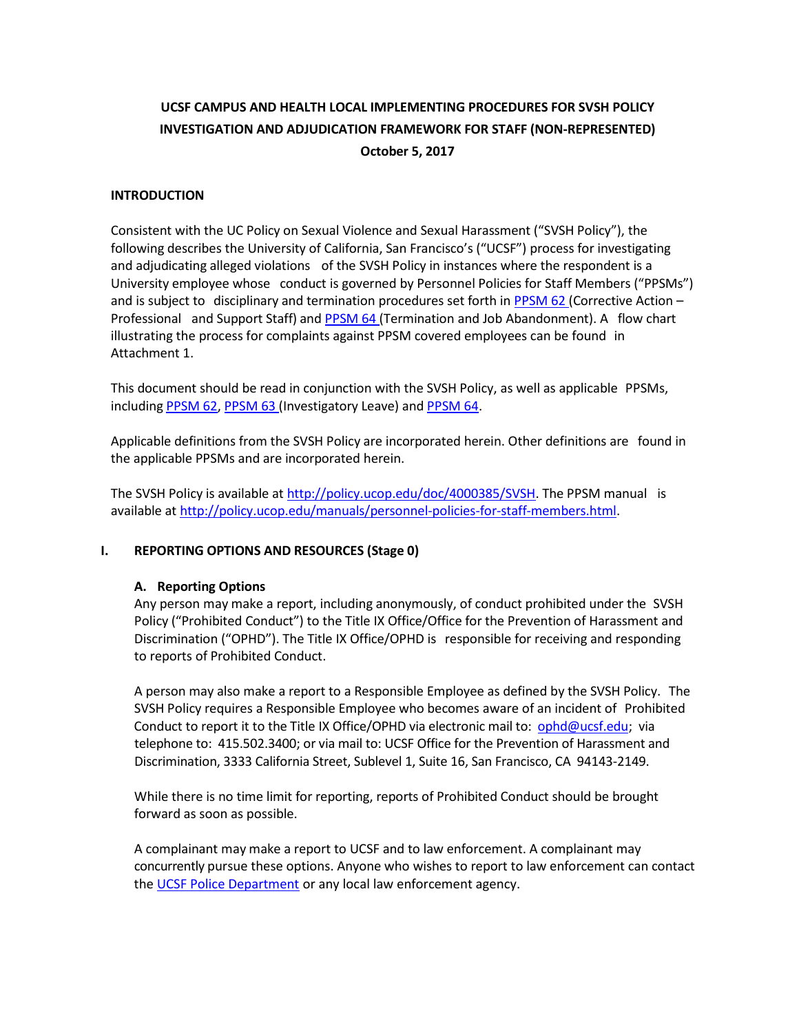# **UCSF CAMPUS AND HEALTH LOCAL IMPLEMENTING PROCEDURES FOR SVSH POLICY INVESTIGATION AND ADJUDICATION FRAMEWORK FOR STAFF (NON-REPRESENTED) October 5, 2017**

#### **INTRODUCTION**

Consistent with the UC Policy on Sexual Violence and Sexual Harassment ("SVSH Policy"), the following describes the University of California, San Francisco's ("UCSF") process for investigating and adjudicating alleged violations of the SVSH Policy in instances where the respondent is a University employee whose conduct is governed by Personnel Policies for Staff Members ("PPSMs") and is subject to disciplinary and termination procedures set forth in [PPSM](http://policy.ucop.edu/doc/4010411/PPSM-62) 62 (Corrective Action – Professional and Support Staff) and [PPSM](http://policy.ucop.edu/doc/4010413/PPSM-64) 64 (Termination and Job Abandonment). A flow chart illustrating the process for complaints against PPSM covered employees can be found in Attachment 1.

This document should be read in conjunction with the SVSH Policy, as well as applicable PPSMs, including [PPSM](http://policy.ucop.edu/doc/4010411/PPSM-62) 62, [PPSM](http://policy.ucop.edu/doc/4010412/PPSM-63) 63 (Investigatory Leave) and [PPSM 64.](http://policy.ucop.edu/doc/4010413/PPSM-64)

Applicable definitions from the SVSH Policy are incorporated herein. Other definitions are found in the applicable PPSMs and are incorporated herein.

The SVSH Policy is available at [http://policy.ucop.edu/doc/4000385/SVSH.](http://policy.ucop.edu/doc/4000385/SVSH) The PPSM manual is available at [http://policy.ucop.edu/manuals/personnel-policies-for-staff-members.html.](http://policy.ucop.edu/manuals/personnel-policies-for-staff-members.html)

### **I. REPORTING OPTIONS AND RESOURCES (Stage 0)**

#### **A. Reporting Options**

Any person may make a report, including anonymously, of conduct prohibited under the SVSH Policy ("Prohibited Conduct") to the Title IX Office/Office for the Prevention of Harassment and Discrimination ("OPHD"). The Title IX Office/OPHD is responsible for receiving and responding to reports of Prohibited Conduct.

A person may also make a report to a Responsible Employee as defined by the SVSH Policy. The SVSH Policy requires a Responsible Employee who becomes aware of an incident of Prohibited Conduct to report it to the Title IX Office/OPHD via electronic mail to: [ophd@ucsf.edu;](mailto:ophd@ucsf.edu) via telephone to: 415.502.3400; or via mail to: UCSF Office for the Prevention of Harassment and Discrimination, 3333 California Street, Sublevel 1, Suite 16, San Francisco, CA 94143-2149.

While there is no time limit for reporting, reports of Prohibited Conduct should be brought forward as soon as possible.

A complainant may make a report to UCSF and to law enforcement. A complainant may concurrently pursue these options. Anyone who wishes to report to law enforcement can contact the [UCSF Police Department](https://police.ucsf.edu/) or any local law enforcement agency.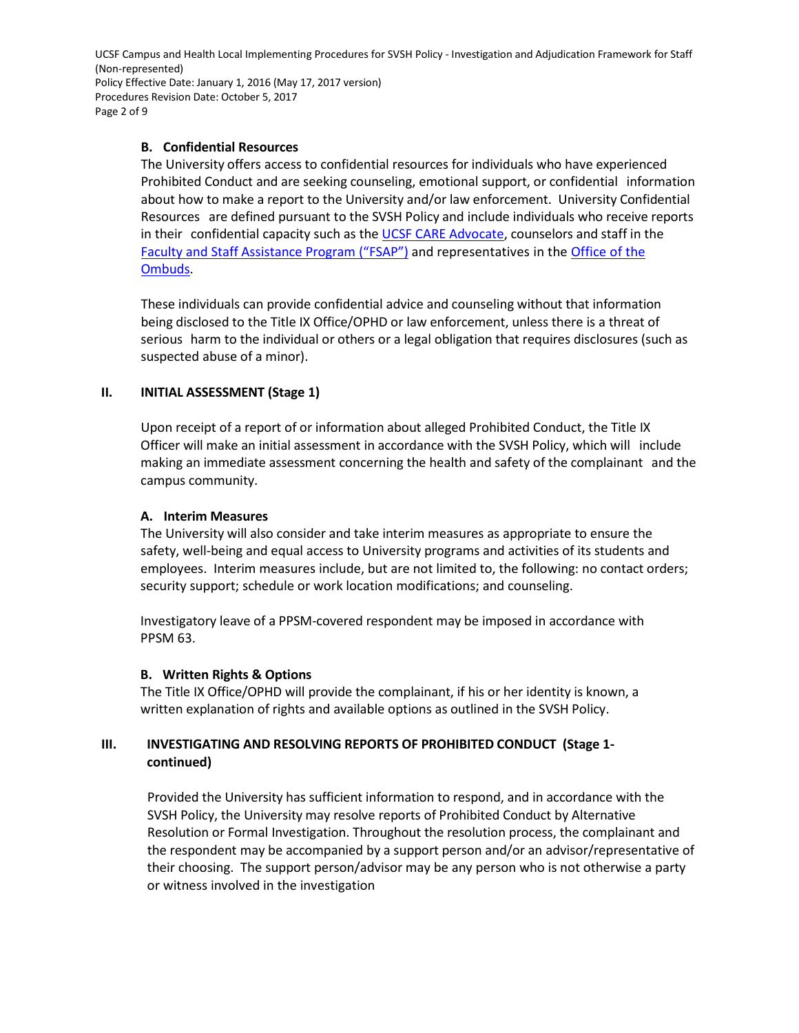UCSF Campus and Health Local Implementing Procedures for SVSH Policy - Investigation and Adjudication Framework for Staff (Non-represented) Policy Effective Date: January 1, 2016 (May 17, 2017 version) Procedures Revision Date: October 5, 2017 Page 2 of 9

### **B. Confidential Resources**

The University offers access to confidential resources for individuals who have experienced Prohibited Conduct and are seeking counseling, emotional support, or confidential information about how to make a report to the University and/or law enforcement. University Confidential Resources are defined pursuant to the SVSH Policy and include individuals who receive reports in their confidential capacity such as th[e UCSF CARE](http://careadvocate.ucsf.edu/) Advocate, counselors and staff in the [Faculty and Staff Assistance Program \("FSAP"\)](https://hr.ucsf.edu/hr.php?org=c&AT=cm&S=Faculty+and+Staff+Assistance) and representatives in the [Office of the](http://ombuds.ucsf.edu/)  [Ombuds.](http://ombuds.ucsf.edu/)

These individuals can provide confidential advice and counseling without that information being disclosed to the Title IX Office/OPHD or law enforcement, unless there is a threat of serious harm to the individual or others or a legal obligation that requires disclosures (such as suspected abuse of a minor).

### **II. INITIAL ASSESSMENT (Stage 1)**

Upon receipt of a report of or information about alleged Prohibited Conduct, the Title IX Officer will make an initial assessment in accordance with the SVSH Policy, which will include making an immediate assessment concerning the health and safety of the complainant and the campus community.

### **A. Interim Measures**

The University will also consider and take interim measures as appropriate to ensure the safety, well-being and equal access to University programs and activities of its students and employees. Interim measures include, but are not limited to, the following: no contact orders; security support; schedule or work location modifications; and counseling.

Investigatory leave of a PPSM-covered respondent may be imposed in accordance with PPSM 63.

### **B. Written Rights & Options**

The Title IX Office/OPHD will provide the complainant, if his or her identity is known, a written explanation of rights and available options as outlined in the SVSH Policy.

## **III. INVESTIGATING AND RESOLVING REPORTS OF PROHIBITED CONDUCT (Stage 1 continued)**

Provided the University has sufficient information to respond, and in accordance with the SVSH Policy, the University may resolve reports of Prohibited Conduct by Alternative Resolution or Formal Investigation. Throughout the resolution process, the complainant and the respondent may be accompanied by a support person and/or an advisor/representative of their choosing. The support person/advisor may be any person who is not otherwise a party or witness involved in the investigation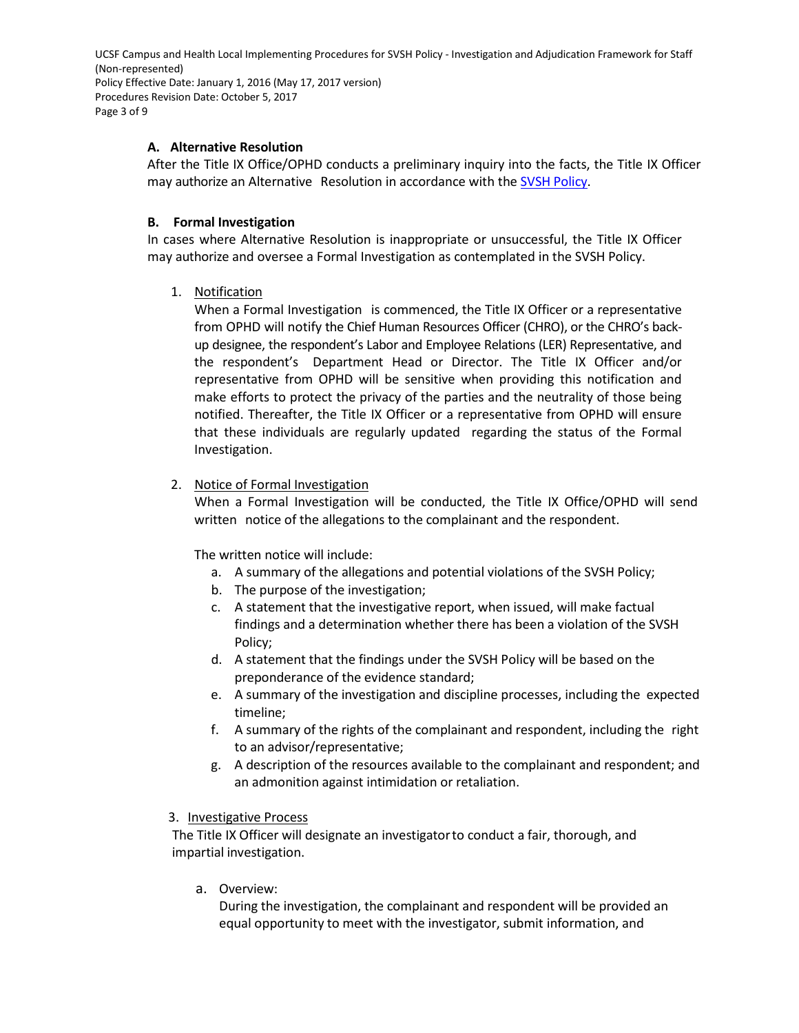UCSF Campus and Health Local Implementing Procedures for SVSH Policy - Investigation and Adjudication Framework for Staff (Non-represented) Policy Effective Date: January 1, 2016 (May 17, 2017 version) Procedures Revision Date: October 5, 2017 Page 3 of 9

### **A. Alternative Resolution**

After the Title IX Office/OPHD conducts a preliminary inquiry into the facts, the Title IX Officer may authorize an Alternative Resolution in accordance with the SVSH [Policy.](http://policy.ucop.edu/doc/4000385/SVSH)

#### **B. Formal Investigation**

In cases where Alternative Resolution is inappropriate or unsuccessful, the Title IX Officer may authorize and oversee a Formal Investigation as contemplated in the SVSH Policy.

1. Notification

When a Formal Investigation is commenced, the Title IX Officer or a representative from OPHD will notify the Chief Human Resources Officer (CHRO), or the CHRO's backup designee, the respondent's Labor and Employee Relations (LER) Representative, and the respondent's Department Head or Director. The Title IX Officer and/or representative from OPHD will be sensitive when providing this notification and make efforts to protect the privacy of the parties and the neutrality of those being notified. Thereafter, the Title IX Officer or a representative from OPHD will ensure that these individuals are regularly updated regarding the status of the Formal Investigation.

### 2. Notice of Formal Investigation

When a Formal Investigation will be conducted, the Title IX Office/OPHD will send written notice of the allegations to the complainant and the respondent.

The written notice will include:

- a. A summary of the allegations and potential violations of the SVSH Policy;
- b. The purpose of the investigation;
- c. A statement that the investigative report, when issued, will make factual findings and a determination whether there has been a violation of the SVSH Policy;
- d. A statement that the findings under the SVSH Policy will be based on the preponderance of the evidence standard;
- e. A summary of the investigation and discipline processes, including the expected timeline;
- f. A summary of the rights of the complainant and respondent, including the right to an advisor/representative;
- g. A description of the resources available to the complainant and respondent; and an admonition against intimidation or retaliation.

#### 3. Investigative Process

The Title IX Officer will designate an investigatorto conduct a fair, thorough, and impartial investigation.

a. Overview:

During the investigation, the complainant and respondent will be provided an equal opportunity to meet with the investigator, submit information, and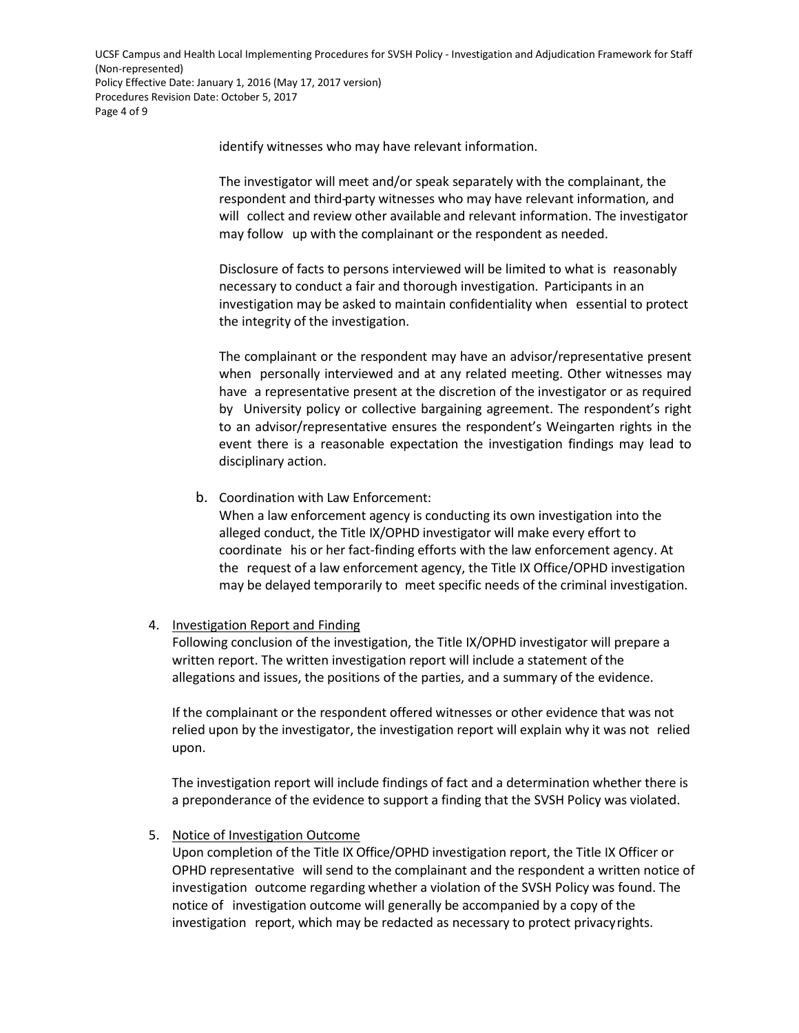UCSF Campus and Health Local Implementing Procedures for SVSH Policy - Investigation and Adjudication Framework for Staff (Non-represented) Policy Effective Date: January 1, 2016 (May 17, 2017 version) Procedures Revision Date: October 5, 2017 Page 4 of 9

identify witnesses who may have relevant information.

The investigator will meet and/or speak separately with the complainant, the respondent and third-party witnesses who may have relevant information, and will collect and review other available and relevant information. The investigator may follow up with the complainant or the respondent as needed.

Disclosure of facts to persons interviewed will be limited to what is reasonably necessary to conduct a fair and thorough investigation. Participants in an investigation may be asked to maintain confidentiality when essential to protect the integrity of the investigation.

The complainant or the respondent may have an advisor/representative present when personally interviewed and at any related meeting. Other witnesses may have a representative present at the discretion of the investigator or as required by University policy or collective bargaining agreement. The respondent's right to an advisor/representative ensures the respondent's Weingarten rights in the event there is a reasonable expectation the investigation findings may lead to disciplinary action.

b. Coordination with Law Enforcement:

When a law enforcement agency is conducting its own investigation into the alleged conduct, the Title IX/OPHD investigator will make every effort to coordinate his or her fact-finding efforts with the law enforcement agency. At the request of a law enforcement agency, the Title IX Office/OPHD investigation may be delayed temporarily to meet specific needs of the criminal investigation.

### 4. Investigation Report and Finding

Following conclusion of the investigation, the Title IX/OPHD investigator will prepare a written report. The written investigation report will include a statement of the allegations and issues, the positions of the parties, and a summary of the evidence.

If the complainant or the respondent offered witnesses or other evidence that was not relied upon by the investigator, the investigation report will explain why it was not relied upon.

The investigation report will include findings of fact and a determination whether there is a preponderance of the evidence to support a finding that the SVSH Policy was violated.

5. Notice of Investigation Outcome

Upon completion of the Title IX Office/OPHD investigation report, the Title IX Officer or OPHD representative will send to the complainant and the respondent a written notice of investigation outcome regarding whether a violation of the SVSH Policy was found. The notice of investigation outcome will generally be accompanied by a copy of the investigation report, which may be redacted as necessary to protect privacyrights.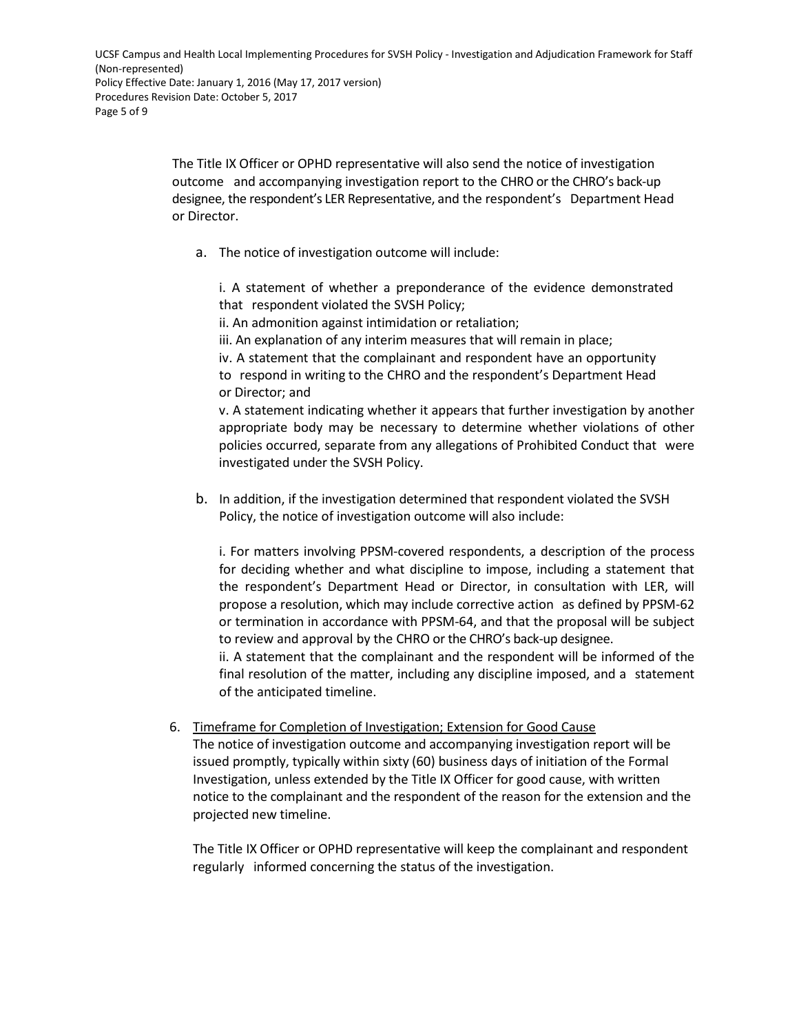The Title IX Officer or OPHD representative will also send the notice of investigation outcome and accompanying investigation report to the CHRO or the CHRO's back-up designee, the respondent's LER Representative, and the respondent's Department Head or Director.

a. The notice of investigation outcome will include:

i. A statement of whether a preponderance of the evidence demonstrated that respondent violated the SVSH Policy;

ii. An admonition against intimidation or retaliation;

iii. An explanation of any interim measures that will remain in place;

iv. A statement that the complainant and respondent have an opportunity to respond in writing to the CHRO and the respondent's Department Head or Director; and

v. A statement indicating whether it appears that further investigation by another appropriate body may be necessary to determine whether violations of other policies occurred, separate from any allegations of Prohibited Conduct that were investigated under the SVSH Policy.

b. In addition, if the investigation determined that respondent violated the SVSH Policy, the notice of investigation outcome will also include:

i. For matters involving PPSM-covered respondents, a description of the process for deciding whether and what discipline to impose, including a statement that the respondent's Department Head or Director, in consultation with LER, will propose a resolution, which may include corrective action as defined by PPSM-62 or termination in accordance with PPSM-64, and that the proposal will be subject to review and approval by the CHRO or the CHRO's back-up designee.

ii. A statement that the complainant and the respondent will be informed of the final resolution of the matter, including any discipline imposed, and a statement of the anticipated timeline.

6. Timeframe for Completion of Investigation; Extension for Good Cause The notice of investigation outcome and accompanying investigation report will be issued promptly, typically within sixty (60) business days of initiation of the Formal Investigation, unless extended by the Title IX Officer for good cause, with written

projected new timeline.

The Title IX Officer or OPHD representative will keep the complainant and respondent regularly informed concerning the status of the investigation.

notice to the complainant and the respondent of the reason for the extension and the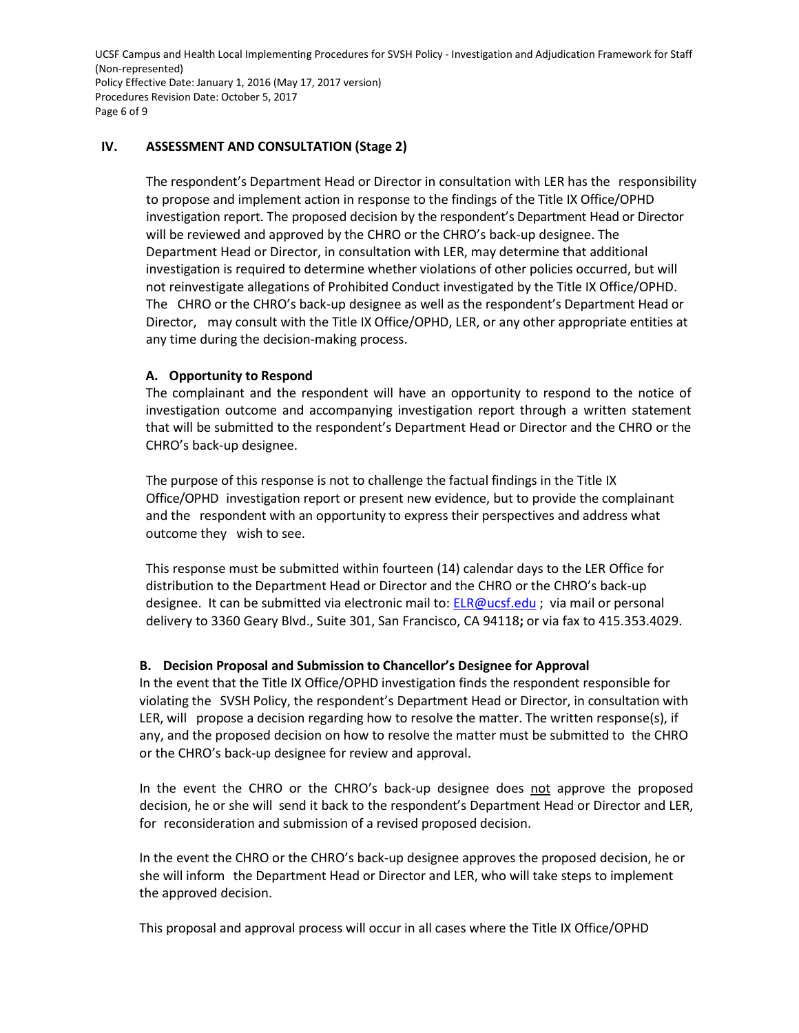UCSF Campus and Health Local Implementing Procedures for SVSH Policy - Investigation and Adjudication Framework for Staff (Non-represented) Policy Effective Date: January 1, 2016 (May 17, 2017 version) Procedures Revision Date: October 5, 2017 Page 6 of 9

### **IV. ASSESSMENT AND CONSULTATION (Stage 2)**

The respondent's Department Head or Director in consultation with LER has the responsibility to propose and implement action in response to the findings of the Title IX Office/OPHD investigation report. The proposed decision by the respondent's Department Head or Director will be reviewed and approved by the CHRO or the CHRO's back-up designee. The Department Head or Director, in consultation with LER, may determine that additional investigation is required to determine whether violations of other policies occurred, but will not reinvestigate allegations of Prohibited Conduct investigated by the Title IX Office/OPHD. The CHRO or the CHRO's back-up designee as well as the respondent's Department Head or Director, may consult with the Title IX Office/OPHD, LER, or any other appropriate entities at any time during the decision-making process.

#### **A. Opportunity to Respond**

The complainant and the respondent will have an opportunity to respond to the notice of investigation outcome and accompanying investigation report through a written statement that will be submitted to the respondent's Department Head or Director and the CHRO or the CHRO's back-up designee.

The purpose of this response is not to challenge the factual findings in the Title IX Office/OPHD investigation report or present new evidence, but to provide the complainant and the respondent with an opportunity to express their perspectives and address what outcome they wish to see.

This response must be submitted within fourteen (14) calendar days to the LER Office for distribution to the Department Head or Director and the CHRO or the CHRO's back-up designee. It can be submitted via electronic mail to: [ELR@ucsf.edu](mailto:ELR@ucsf.edu) ; via mail or personal delivery to 3360 Geary Blvd., Suite 301, San Francisco, CA 94118**;** or via fax to 415.353.4029.

#### **B. Decision Proposal and Submission to Chancellor's Designee for Approval**

In the event that the Title IX Office/OPHD investigation finds the respondent responsible for violating the SVSH Policy, the respondent's Department Head or Director, in consultation with LER, will propose a decision regarding how to resolve the matter. The written response(s), if any, and the proposed decision on how to resolve the matter must be submitted to the CHRO or the CHRO's back-up designee for review and approval.

In the event the CHRO or the CHRO's back-up designee does not approve the proposed decision, he or she will send it back to the respondent's Department Head or Director and LER, for reconsideration and submission of a revised proposed decision.

In the event the CHRO or the CHRO's back-up designee approves the proposed decision, he or she will inform the Department Head or Director and LER, who will take steps to implement the approved decision.

This proposal and approval process will occur in all cases where the Title IX Office/OPHD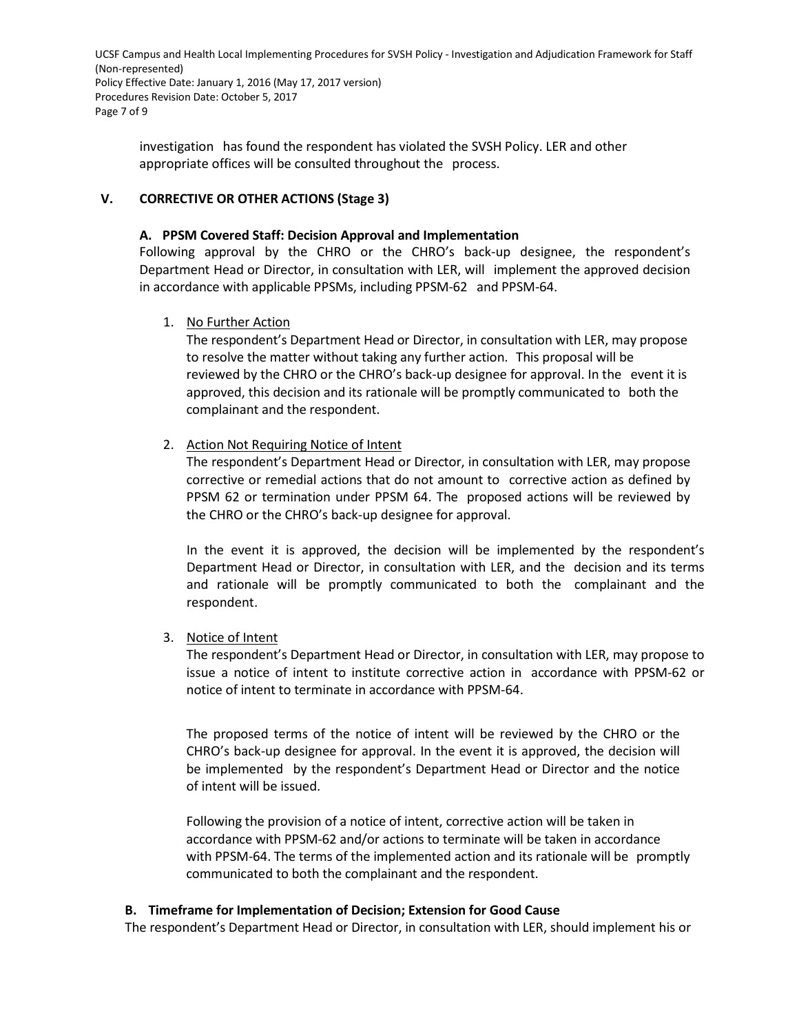UCSF Campus and Health Local Implementing Procedures for SVSH Policy - Investigation and Adjudication Framework for Staff (Non-represented) Policy Effective Date: January 1, 2016 (May 17, 2017 version) Procedures Revision Date: October 5, 2017 Page 7 of 9

investigation has found the respondent has violated the SVSH Policy. LER and other appropriate offices will be consulted throughout the process.

### **V. CORRECTIVE OR OTHER ACTIONS (Stage 3)**

### **A. PPSM Covered Staff: Decision Approval and Implementation**

Following approval by the CHRO or the CHRO's back-up designee, the respondent's Department Head or Director, in consultation with LER, will implement the approved decision in accordance with applicable PPSMs, including PPSM-62 and PPSM-64.

1. No Further Action

The respondent's Department Head or Director, in consultation with LER, may propose to resolve the matter without taking any further action. This proposal will be reviewed by the CHRO or the CHRO's back-up designee for approval. In the event it is approved, this decision and its rationale will be promptly communicated to both the complainant and the respondent.

### 2. Action Not Requiring Notice of Intent

The respondent's Department Head or Director, in consultation with LER, may propose corrective or remedial actions that do not amount to corrective action as defined by PPSM 62 or termination under PPSM 64. The proposed actions will be reviewed by the CHRO or the CHRO's back-up designee for approval.

In the event it is approved, the decision will be implemented by the respondent's Department Head or Director, in consultation with LER, and the decision and its terms and rationale will be promptly communicated to both the complainant and the respondent.

### 3. Notice of Intent

The respondent's Department Head or Director, in consultation with LER, may propose to issue a notice of intent to institute corrective action in accordance with PPSM-62 or notice of intent to terminate in accordance with PPSM-64.

The proposed terms of the notice of intent will be reviewed by the CHRO or the CHRO's back-up designee for approval. In the event it is approved, the decision will be implemented by the respondent's Department Head or Director and the notice of intent will be issued.

Following the provision of a notice of intent, corrective action will be taken in accordance with PPSM-62 and/or actions to terminate will be taken in accordance with PPSM-64. The terms of the implemented action and its rationale will be promptly communicated to both the complainant and the respondent.

### **B. Timeframe for Implementation of Decision; Extension for Good Cause**

The respondent's Department Head or Director, in consultation with LER, should implement his or